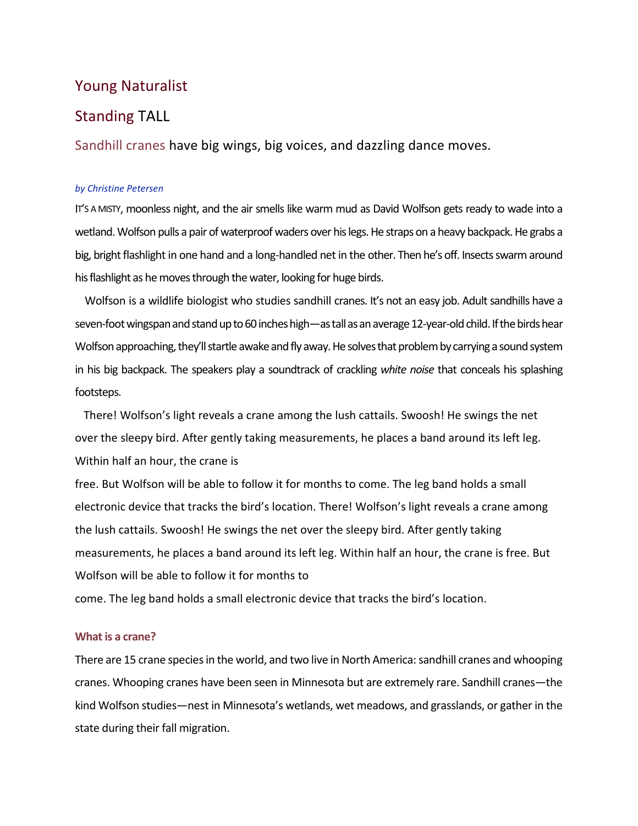# Young Naturalist

# Standing TALL

Sandhill cranes have big wings, big voices, and dazzling dance moves.

### *by Christine Petersen*

IT'S A MISTY, moonless night, and the air smells like warm mud as David Wolfson gets ready to wade into a wetland. Wolfson pulls a pair of waterproof waders over his legs. He straps on a heavy backpack. He grabs a big, bright flashlight in one hand and a long-handled net in the other. Then he's off. Insects swarm around his flashlight as he moves through the water, looking for huge birds.

Wolfson is a wildlife biologist who studies sandhill cranes. It's not an easy job. Adult sandhills have a seven-foot wingspan and stand up to 60 inches high—as tall as an average 12-year-old child. If the birds hear Wolfson approaching, they'll startle awake and fly away. He solves that problem by carrying a sound system in his big backpack. The speakers play a soundtrack of crackling *white noise* that conceals his splashing footsteps.

 There! Wolfson's light reveals a crane among the lush cattails. Swoosh! He swings the net over the sleepy bird. After gently taking measurements, he places a band around its left leg. Within half an hour, the crane is

free. But Wolfson will be able to follow it for months to come. The leg band holds a small electronic device that tracks the bird's location. There! Wolfson's light reveals a crane among the lush cattails. Swoosh! He swings the net over the sleepy bird. After gently taking measurements, he places a band around its left leg. Within half an hour, the crane is free. But Wolfson will be able to follow it for months to

come. The leg band holds a small electronic device that tracks the bird's location.

# **What is a crane?**

There are 15 crane species in the world, and two live in North America: sandhill cranes and whooping cranes. Whooping cranes have been seen in Minnesota but are extremely rare. Sandhill cranes—the kind Wolfson studies—nest in Minnesota's wetlands, wet meadows, and grasslands, or gather in the state during their fall migration.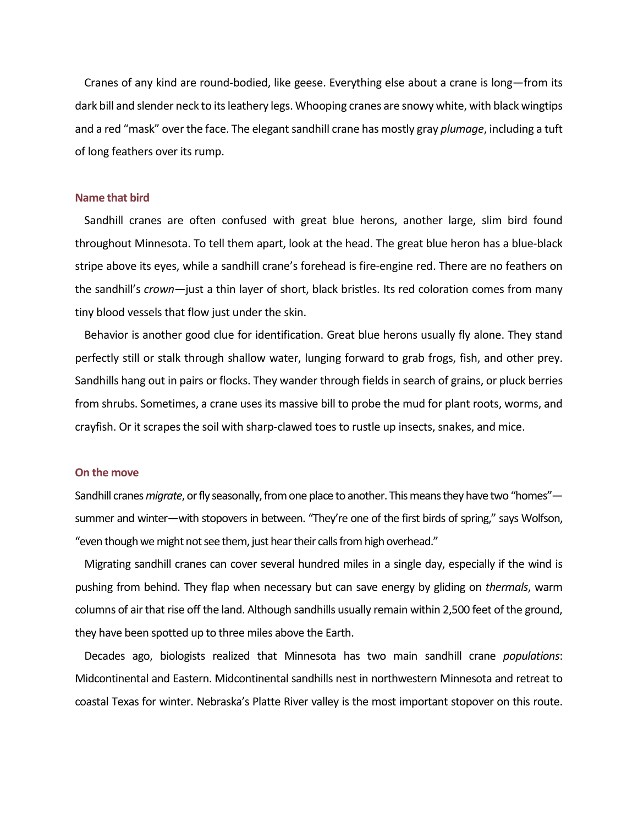Cranes of any kind are round-bodied, like geese. Everything else about a crane is long—from its dark bill and slender neck to its leathery legs. Whooping cranes are snowy white, with black wingtips and a red "mask" over the face. The elegant sandhill crane has mostly gray *plumage*, including a tuft of long feathers over its rump.

#### **Name that bird**

Sandhill cranes are often confused with great blue herons, another large, slim bird found throughout Minnesota. To tell them apart, look at the head. The great blue heron has a blue-black stripe above its eyes, while a sandhill crane's forehead is fire-engine red. There are no feathers on the sandhill's *crown*—just a thin layer of short, black bristles. Its red coloration comes from many tiny blood vessels that flow just under the skin.

Behavior is another good clue for identification. Great blue herons usually fly alone. They stand perfectly still or stalk through shallow water, lunging forward to grab frogs, fish, and other prey. Sandhills hang out in pairs or flocks. They wander through fields in search of grains, or pluck berries from shrubs. Sometimes, a crane uses its massive bill to probe the mud for plant roots, worms, and crayfish. Or it scrapes the soil with sharp-clawed toes to rustle up insects, snakes, and mice.

## **On the move**

Sandhill cranes *migrate*, or fly seasonally, from one place to another. This means they have two "homes" summer and winter—with stopovers in between. "They're one of the first birds of spring," says Wolfson, "even though we might not see them, just hear their calls from high overhead."

Migrating sandhill cranes can cover several hundred miles in a single day, especially if the wind is pushing from behind. They flap when necessary but can save energy by gliding on *thermals*, warm columns of air that rise off the land. Although sandhills usually remain within 2,500 feet of the ground, they have been spotted up to three miles above the Earth.

Decades ago, biologists realized that Minnesota has two main sandhill crane *populations*: Midcontinental and Eastern. Midcontinental sandhills nest in northwestern Minnesota and retreat to coastal Texas for winter. Nebraska's Platte River valley is the most important stopover on this route.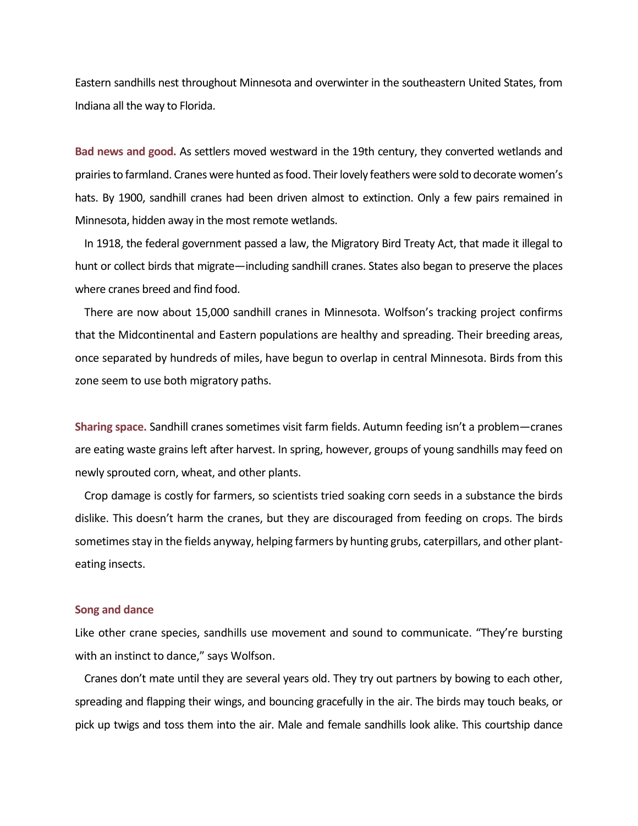Eastern sandhills nest throughout Minnesota and overwinter in the southeastern United States, from Indiana all the way to Florida.

**Bad news and good.** As settlers moved westward in the 19th century, they converted wetlands and prairies to farmland. Cranes were hunted as food. Their lovely feathers were sold to decorate women's hats. By 1900, sandhill cranes had been driven almost to extinction. Only a few pairs remained in Minnesota, hidden away in the most remote wetlands.

In 1918, the federal government passed a law, the Migratory Bird Treaty Act, that made it illegal to hunt or collect birds that migrate—including sandhill cranes. States also began to preserve the places where cranes breed and find food.

There are now about 15,000 sandhill cranes in Minnesota. Wolfson's tracking project confirms that the Midcontinental and Eastern populations are healthy and spreading. Their breeding areas, once separated by hundreds of miles, have begun to overlap in central Minnesota. Birds from this zone seem to use both migratory paths.

**Sharing space.** Sandhill cranes sometimes visit farm fields. Autumn feeding isn't a problem—cranes are eating waste grains left after harvest. In spring, however, groups of young sandhills may feed on newly sprouted corn, wheat, and other plants.

Crop damage is costly for farmers, so scientists tried soaking corn seeds in a substance the birds dislike. This doesn't harm the cranes, but they are discouraged from feeding on crops. The birds sometimes stay in the fields anyway, helping farmers by hunting grubs, caterpillars, and other planteating insects.

#### **Song and dance**

Like other crane species, sandhills use movement and sound to communicate. "They're bursting with an instinct to dance," says Wolfson.

Cranes don't mate until they are several years old. They try out partners by bowing to each other, spreading and flapping their wings, and bouncing gracefully in the air. The birds may touch beaks, or pick up twigs and toss them into the air. Male and female sandhills look alike. This courtship dance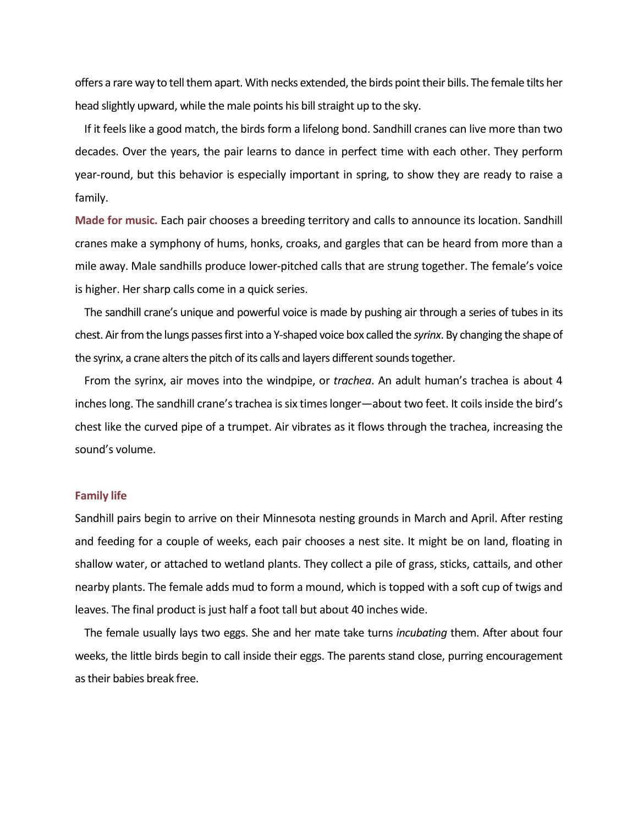offers a rare way to tell them apart. With necks extended, the birds point their bills. The female tilts her head slightly upward, while the male points his bill straight up to the sky.

If it feels like a good match, the birds form a lifelong bond. Sandhill cranes can live more than two decades. Over the years, the pair learns to dance in perfect time with each other. They perform year-round, but this behavior is especially important in spring, to show they are ready to raise a family.

**Made for music.** Each pair chooses a breeding territory and calls to announce its location. Sandhill cranes make a symphony of hums, honks, croaks, and gargles that can be heard from more than a mile away. Male sandhills produce lower-pitched calls that are strung together. The female's voice is higher. Her sharp calls come in a quick series.

The sandhill crane's unique and powerful voice is made by pushing air through a series of tubes in its chest. Air from the lungs passes first into a Y-shaped voice box called the *syrinx*. By changing the shape of the syrinx, a crane alters the pitch of its calls and layers different sounds together.

From the syrinx, air moves into the windpipe, or *trachea*. An adult human's trachea is about 4 inches long. The sandhill crane's trachea is six times longer—about two feet. It coils inside the bird's chest like the curved pipe of a trumpet. Air vibrates as it flows through the trachea, increasing the sound's volume.

#### **Family life**

Sandhill pairs begin to arrive on their Minnesota nesting grounds in March and April. After resting and feeding for a couple of weeks, each pair chooses a nest site. It might be on land, floating in shallow water, or attached to wetland plants. They collect a pile of grass, sticks, cattails, and other nearby plants. The female adds mud to form a mound, which is topped with a soft cup of twigs and leaves. The final product is just half a foot tall but about 40 inches wide.

The female usually lays two eggs. She and her mate take turns *incubating* them. After about four weeks, the little birds begin to call inside their eggs. The parents stand close, purring encouragement as their babies break free.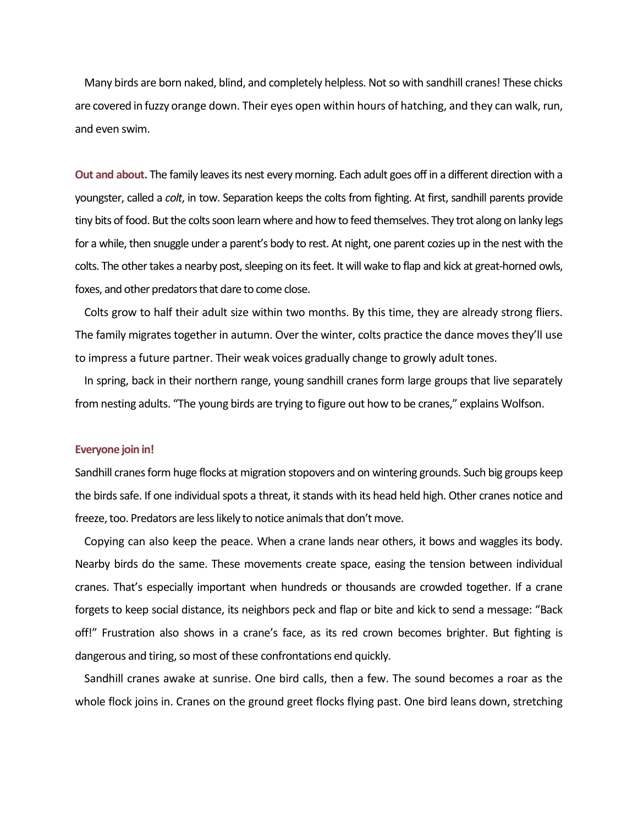Many birds are born naked, blind, and completely helpless. Not so with sandhill cranes! These chicks are covered in fuzzy orange down. Their eyes open within hours of hatching, and they can walk, run, and even swim.

**Out and about.** The family leaves its nest every morning. Each adult goes off in a different direction with a youngster, called a *colt*, in tow. Separation keeps the colts from fighting. At first, sandhill parents provide tiny bits of food. But the colts soon learn where and how to feed themselves. They trot along on lanky legs for a while, then snuggle under a parent's body to rest. At night, one parent cozies up in the nest with the colts. The other takes a nearby post, sleeping on its feet. It will wake to flap and kick at great-horned owls, foxes, and other predators that dare to come close.

Colts grow to half their adult size within two months. By this time, they are already strong fliers. The family migrates together in autumn. Over the winter, colts practice the dance moves they'll use to impress a future partner. Their weak voices gradually change to growly adult tones.

In spring, back in their northern range, young sandhill cranes form large groups that live separately from nesting adults. "The young birds are trying to figure out how to be cranes," explains Wolfson.

### **Everyone join in!**

Sandhill cranes form huge flocks at migration stopovers and on wintering grounds. Such big groups keep the birds safe. If one individual spots a threat, it stands with its head held high. Other cranes notice and freeze, too. Predators are less likely to notice animals that don't move.

Copying can also keep the peace. When a crane lands near others, it bows and waggles its body. Nearby birds do the same. These movements create space, easing the tension between individual cranes. That's especially important when hundreds or thousands are crowded together. If a crane forgets to keep social distance, its neighbors peck and flap or bite and kick to send a message: "Back off!" Frustration also shows in a crane's face, as its red crown becomes brighter. But fighting is dangerous and tiring, so most of these confrontations end quickly.

Sandhill cranes awake at sunrise. One bird calls, then a few. The sound becomes a roar as the whole flock joins in. Cranes on the ground greet flocks flying past. One bird leans down, stretching